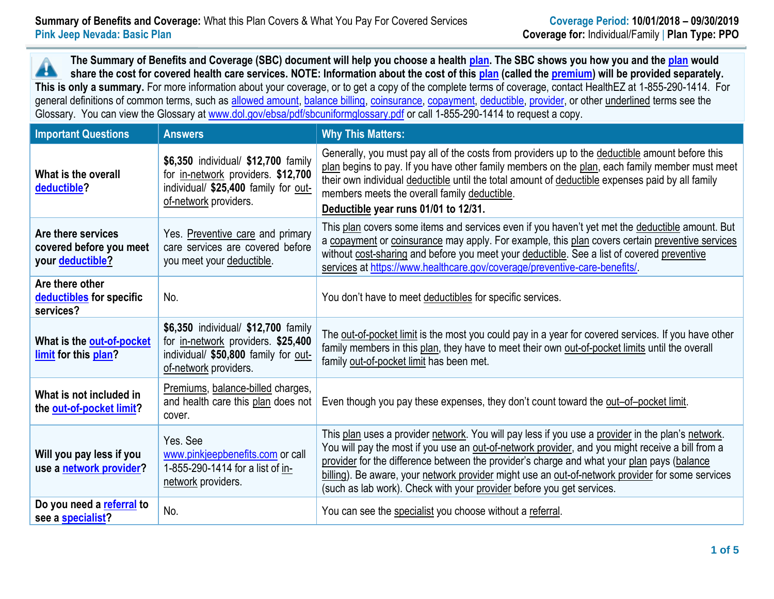**The Summary of Benefits and Coverage (SBC) document will help you choose a health [plan.](https://www.healthcare.gov/sbc-glossary/#plan) The SBC shows you how you and th[e plan](https://www.healthcare.gov/sbc-glossary/#plan) would** Â **share the cost for covered health care services. NOTE: Information about the cost of this [plan](https://www.healthcare.gov/sbc-glossary/#plan) (called the [premium\)](https://www.healthcare.gov/sbc-glossary/#premium) will be provided separately. This is only a summary.** For more information about your coverage, or to get a copy of the complete terms of coverage, contact HealthEZ at 1-855-290-1414. For general definitions of common terms, such as [allowed amount,](https://www.healthcare.gov/sbc-glossary/#allowed-amount) [balance billing,](https://www.healthcare.gov/sbc-glossary/#balance-billing) [coinsurance,](https://www.healthcare.gov/sbc-glossary/#coinsurance) [copayment,](https://www.healthcare.gov/sbc-glossary/#copayment) [deductible,](https://www.healthcare.gov/sbc-glossary/#deductible) [provider,](https://www.healthcare.gov/sbc-glossary/#provider) or other underlined terms see the Glossary. You can view the Glossary at [www.dol.gov/ebsa/pdf/sbcuniformglossary.pdf](http://www.dol.gov/ebsa/pdf/sbcuniformglossary.pdf) or call 1-855-290-1414 to request a copy.

| <b>Important Questions</b>                                        | <b>Answers</b>                                                                                                                             | <b>Why This Matters:</b>                                                                                                                                                                                                                                                                                                                                                                                                                                                         |
|-------------------------------------------------------------------|--------------------------------------------------------------------------------------------------------------------------------------------|----------------------------------------------------------------------------------------------------------------------------------------------------------------------------------------------------------------------------------------------------------------------------------------------------------------------------------------------------------------------------------------------------------------------------------------------------------------------------------|
| What is the overall<br>deductible?                                | \$6,350 individual/ \$12,700 family<br>for in-network providers. \$12,700<br>individual/ \$25,400 family for out-<br>of-network providers. | Generally, you must pay all of the costs from providers up to the deductible amount before this<br>plan begins to pay. If you have other family members on the plan, each family member must meet<br>their own individual deductible until the total amount of deductible expenses paid by all family<br>members meets the overall family deductible.<br>Deductible year runs 01/01 to 12/31.                                                                                    |
| Are there services<br>covered before you meet<br>your deductible? | Yes. Preventive care and primary<br>care services are covered before<br>you meet your deductible.                                          | This plan covers some items and services even if you haven't yet met the deductible amount. But<br>a copayment or coinsurance may apply. For example, this plan covers certain preventive services<br>without cost-sharing and before you meet your deductible. See a list of covered preventive<br>services at https://www.healthcare.gov/coverage/preventive-care-benefits/                                                                                                    |
| Are there other<br>deductibles for specific<br>services?          | No.                                                                                                                                        | You don't have to meet deductibles for specific services.                                                                                                                                                                                                                                                                                                                                                                                                                        |
| What is the out-of-pocket<br>limit for this plan?                 | \$6,350 individual/ \$12,700 family<br>for in-network providers. \$25,400<br>individual/ \$50,800 family for out-<br>of-network providers. | The out-of-pocket limit is the most you could pay in a year for covered services. If you have other<br>family members in this plan, they have to meet their own out-of-pocket limits until the overall<br>family out-of-pocket limit has been met.                                                                                                                                                                                                                               |
| What is not included in<br>the out-of-pocket limit?               | Premiums, balance-billed charges,<br>and health care this plan does not<br>cover.                                                          | Even though you pay these expenses, they don't count toward the out-of-pocket limit.                                                                                                                                                                                                                                                                                                                                                                                             |
| Will you pay less if you<br>use a network provider?               | Yes, See<br>www.pinkjeepbenefits.com or call<br>1-855-290-1414 for a list of in-<br>network providers.                                     | This plan uses a provider network. You will pay less if you use a provider in the plan's network.<br>You will pay the most if you use an out-of-network provider, and you might receive a bill from a<br>provider for the difference between the provider's charge and what your plan pays (balance<br>billing). Be aware, your network provider might use an out-of-network provider for some services<br>(such as lab work). Check with your provider before you get services. |
| Do you need a referral to<br>see a specialist?                    | No.                                                                                                                                        | You can see the specialist you choose without a referral.                                                                                                                                                                                                                                                                                                                                                                                                                        |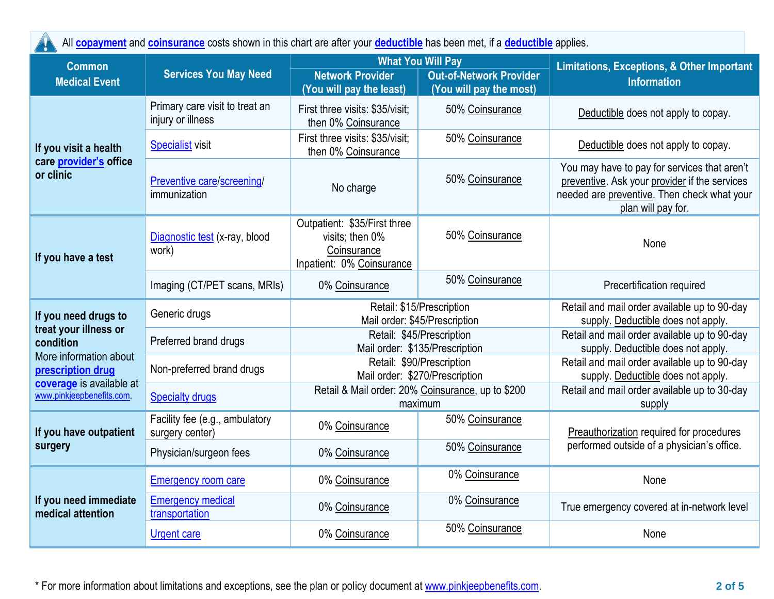| All <b>copayment</b> and <b>coinsurance</b> costs shown in this chart are after your <b>deductible</b> has been met, if a <b>deductible</b> applies. |                                                     |                                                                                                                                              |                                                             |                                                                                                                                                                    |  |  |
|------------------------------------------------------------------------------------------------------------------------------------------------------|-----------------------------------------------------|----------------------------------------------------------------------------------------------------------------------------------------------|-------------------------------------------------------------|--------------------------------------------------------------------------------------------------------------------------------------------------------------------|--|--|
| <b>Common</b><br><b>Services You May Need</b><br><b>Medical Event</b>                                                                                |                                                     | <b>What You Will Pay</b><br><b>Network Provider</b><br><b>Out-of-Network Provider</b><br>(You will pay the least)<br>(You will pay the most) |                                                             | <b>Limitations, Exceptions, &amp; Other Important</b><br><b>Information</b>                                                                                        |  |  |
|                                                                                                                                                      | Primary care visit to treat an<br>injury or illness | First three visits: \$35/visit;<br>then 0% Coinsurance                                                                                       | 50% Coinsurance                                             | Deductible does not apply to copay.                                                                                                                                |  |  |
| If you visit a health                                                                                                                                | <b>Specialist visit</b>                             | First three visits: \$35/visit;<br>then 0% Coinsurance                                                                                       | 50% Coinsurance                                             | Deductible does not apply to copay.                                                                                                                                |  |  |
| care provider's office<br>or clinic                                                                                                                  | Preventive care/screening/<br>immunization          | No charge                                                                                                                                    | 50% Coinsurance                                             | You may have to pay for services that aren't<br>preventive. Ask your provider if the services<br>needed are preventive. Then check what your<br>plan will pay for. |  |  |
| If you have a test                                                                                                                                   | Diagnostic test (x-ray, blood<br>work)              | Outpatient: \$35/First three<br>visits; then 0%<br>Coinsurance<br>Inpatient: 0% Coinsurance                                                  | 50% Coinsurance                                             | None                                                                                                                                                               |  |  |
|                                                                                                                                                      | Imaging (CT/PET scans, MRIs)                        | 0% Coinsurance                                                                                                                               | 50% Coinsurance                                             | Precertification required                                                                                                                                          |  |  |
| If you need drugs to                                                                                                                                 | Generic drugs                                       | Retail: \$15/Prescription<br>Mail order: \$45/Prescription                                                                                   |                                                             | Retail and mail order available up to 90-day<br>supply. Deductible does not apply.                                                                                 |  |  |
| treat your illness or<br>condition                                                                                                                   | Preferred brand drugs                               | Retail: \$45/Prescription<br>Mail order: \$135/Prescription                                                                                  |                                                             | Retail and mail order available up to 90-day<br>supply. Deductible does not apply.                                                                                 |  |  |
| More information about<br>prescription drug                                                                                                          | Non-preferred brand drugs                           |                                                                                                                                              | Retail: \$90/Prescription<br>Mail order: \$270/Prescription | Retail and mail order available up to 90-day<br>supply. Deductible does not apply.                                                                                 |  |  |
| coverage is available at<br>www.pinkjeepbenefits.com.                                                                                                | <b>Specialty drugs</b>                              | Retail & Mail order: 20% Coinsurance, up to \$200<br>maximum                                                                                 |                                                             | Retail and mail order available up to 30-day<br>supply                                                                                                             |  |  |
| If you have outpatient                                                                                                                               | Facility fee (e.g., ambulatory<br>surgery center)   | 0% Coinsurance                                                                                                                               | 50% Coinsurance                                             | Preauthorization required for procedures<br>performed outside of a physician's office.                                                                             |  |  |
| surgery                                                                                                                                              | Physician/surgeon fees                              | 0% Coinsurance                                                                                                                               | 50% Coinsurance                                             |                                                                                                                                                                    |  |  |
|                                                                                                                                                      | <b>Emergency room care</b>                          | 0% Coinsurance                                                                                                                               | 0% Coinsurance                                              | None                                                                                                                                                               |  |  |
| If you need immediate<br>medical attention                                                                                                           | <b>Emergency medical</b><br>transportation          | 0% Coinsurance                                                                                                                               | 0% Coinsurance                                              | True emergency covered at in-network level                                                                                                                         |  |  |
|                                                                                                                                                      | <b>Urgent care</b>                                  | 0% Coinsurance                                                                                                                               | 50% Coinsurance                                             | None                                                                                                                                                               |  |  |

\* For more information about limitations and exceptions, see the plan or policy document at [www.pinkjeepbenefits.com.](http://www.pinkjeepbenefits.com/) **2 of 5**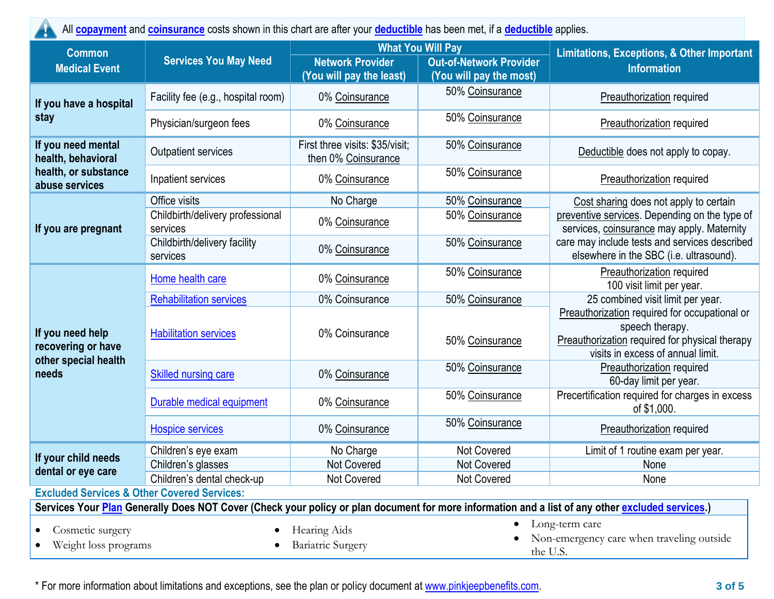All **[copayment](https://www.healthcare.gov/sbc-glossary/#copayment)** and **[coinsurance](https://www.healthcare.gov/sbc-glossary/#coinsurance)** costs shown in this chart are after your **[deductible](https://www.healthcare.gov/sbc-glossary/#deductible)** has been met, if a **[deductible](https://www.healthcare.gov/sbc-glossary/#deductible)** applies.

| <b>Common</b>                                                          |                                              |                                                        | <b>What You Will Pay</b>                                  | <b>Limitations, Exceptions, &amp; Other Important</b><br><b>Information</b>                                                                             |  |
|------------------------------------------------------------------------|----------------------------------------------|--------------------------------------------------------|-----------------------------------------------------------|---------------------------------------------------------------------------------------------------------------------------------------------------------|--|
| <b>Medical Event</b>                                                   | <b>Services You May Need</b>                 | <b>Network Provider</b><br>(You will pay the least)    | <b>Out-of-Network Provider</b><br>(You will pay the most) |                                                                                                                                                         |  |
| If you have a hospital                                                 | Facility fee (e.g., hospital room)           | 0% Coinsurance                                         | 50% Coinsurance                                           | <b>Preauthorization required</b>                                                                                                                        |  |
| stay                                                                   | Physician/surgeon fees                       | 0% Coinsurance                                         | 50% Coinsurance                                           | <b>Preauthorization required</b>                                                                                                                        |  |
| If you need mental<br>health, behavioral                               | <b>Outpatient services</b>                   | First three visits: \$35/visit;<br>then 0% Coinsurance | 50% Coinsurance                                           | Deductible does not apply to copay.                                                                                                                     |  |
| health, or substance<br>abuse services                                 | Inpatient services                           | 0% Coinsurance                                         | 50% Coinsurance                                           | <b>Preauthorization required</b>                                                                                                                        |  |
|                                                                        | Office visits                                | No Charge                                              | 50% Coinsurance                                           | Cost sharing does not apply to certain                                                                                                                  |  |
| If you are pregnant                                                    | Childbirth/delivery professional<br>services | 0% Coinsurance                                         | 50% Coinsurance                                           | preventive services. Depending on the type of<br>services, coinsurance may apply. Maternity                                                             |  |
|                                                                        | Childbirth/delivery facility<br>services     | 0% Coinsurance                                         | 50% Coinsurance                                           | care may include tests and services described<br>elsewhere in the SBC (i.e. ultrasound).                                                                |  |
|                                                                        | Home health care                             | 0% Coinsurance                                         | 50% Coinsurance                                           | Preauthorization required<br>100 visit limit per year.                                                                                                  |  |
|                                                                        | <b>Rehabilitation services</b>               | 0% Coinsurance                                         | 50% Coinsurance                                           | 25 combined visit limit per year.                                                                                                                       |  |
| If you need help<br>recovering or have<br>other special health         | <b>Habilitation services</b>                 | 0% Coinsurance                                         | 50% Coinsurance                                           | Preauthorization required for occupational or<br>speech therapy.<br>Preauthorization required for physical therapy<br>visits in excess of annual limit. |  |
| needs                                                                  | <b>Skilled nursing care</b>                  | 0% Coinsurance                                         | 50% Coinsurance                                           | Preauthorization required<br>60-day limit per year.                                                                                                     |  |
|                                                                        | Durable medical equipment                    | 0% Coinsurance                                         | 50% Coinsurance                                           | Precertification required for charges in excess<br>of \$1,000.                                                                                          |  |
|                                                                        | <b>Hospice services</b>                      | 0% Coinsurance                                         | 50% Coinsurance                                           | Preauthorization required                                                                                                                               |  |
| If your child needs                                                    | Children's eye exam                          | No Charge                                              | Not Covered                                               | Limit of 1 routine exam per year.                                                                                                                       |  |
| dental or eye care                                                     | Children's glasses                           | <b>Not Covered</b>                                     | Not Covered                                               | None                                                                                                                                                    |  |
| $\mathbf{A}$ and $\mathbf{A}$ and $\mathbf{A}$<br>$\sim$ $\sim$ $\sim$ | Children's dental check-up                   | Not Covered                                            | <b>Not Covered</b>                                        | None                                                                                                                                                    |  |

**Excluded Services & Other Covered Services:**

**Services Your [Plan](https://www.healthcare.gov/sbc-glossary/#plan) Generally Does NOT Cover (Check your policy or plan document for more information and a list of any other [excluded services.](https://www.healthcare.gov/sbc-glossary/#excluded-services))**

• Cosmetic surgery

• Weight loss programs

• Hearing Aids

• Bariatric Surgery

- Long-term care
- Non-emergency care when traveling outside the U.S.

\* For more information about limitations and exceptions, see the plan or policy document at [www.pinkjeepbenefits.com.](http://www.pinkjeepbenefits.com/) **3 of 5**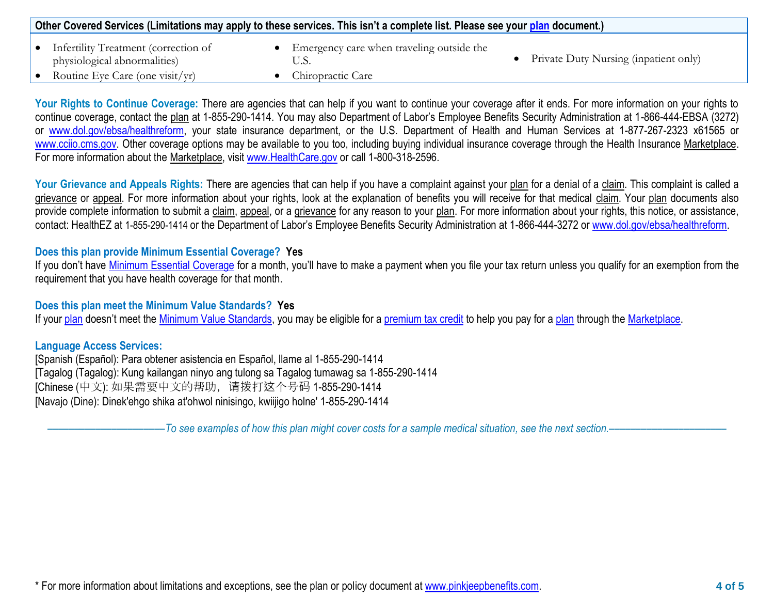| Other Covered Services (Limitations may apply to these services. This isn't a complete list. Please see your plan document.) |                                                                      |  |                                           |  |                                       |
|------------------------------------------------------------------------------------------------------------------------------|----------------------------------------------------------------------|--|-------------------------------------------|--|---------------------------------------|
|                                                                                                                              | Infertility Treatment (correction of<br>physiological abnormalities) |  | Emergency care when traveling outside the |  | Private Duty Nursing (inpatient only) |
|                                                                                                                              | Routine Eye Care (one visit/yr)                                      |  | Chiropractic Care                         |  |                                       |

Your Rights to Continue Coverage: There are agencies that can help if you want to continue your coverage after it ends. For more information on your rights to continue coverage, contact the plan at 1-855-290-1414. You may also Department of Labor's Employee Benefits Security Administration at 1-866-444-EBSA (3272) or [www.dol.gov/ebsa/healthreform,](http://www.dol.gov/ebsa/healthreform) your state insurance department, or the U.S. Department of Health and Human Services at 1-877-267-2323 x61565 or [www.cciio.cms.gov.](http://www.cciio.cms.gov/) Other coverage options may be available to you too, including buying individual insurance coverage through the Health Insurance Marketplace. For more information about the Marketplace, visit [www.HealthCare.gov](http://www.healthcare.gov/) or call 1-800-318-2596.

Your Grievance and Appeals Rights: There are agencies that can help if you have a complaint against your plan for a denial of a claim. This complaint is called a grievance or appeal. For more information about your rights, look at the explanation of benefits you will receive for that medical claim. Your plan documents also provide complete information to submit a claim, appeal, or a grievance for any reason to your plan. For more information about your rights, this notice, or assistance, contact: HealthEZ at 1-855-290-1414 or the Department of Labor's Employee Benefits Security Administration at 1-866-444-3272 or [www.dol.gov/ebsa/healthreform.](http://www.dol.gov/ebsa/healthreform)

## **Does this plan provide Minimum Essential Coverage? Yes**

If you don't have [Minimum Essential Coverage](https://www.healthcare.gov/sbc-glossary/#minimum-essential-coverage) for a month, you'll have to make a payment when you file your tax return unless you qualify for an exemption from the requirement that you have health coverage for that month.

## **Does this plan meet the Minimum Value Standards? Yes**

If your [plan](https://www.healthcare.gov/sbc-glossary/#plan) doesn't meet the [Minimum Value Standards,](https://www.healthcare.gov/sbc-glossary/#minimum-value-standard) you may be eligible for a [premium tax credit](https://www.healthcare.gov/sbc-glossary/#premium-tax-credits) to help you pay for a plan through the [Marketplace.](https://www.healthcare.gov/sbc-glossary/#marketplace)

## **Language Access Services:**

[Spanish (Español): Para obtener asistencia en Español, llame al 1-855-290-1414 [Tagalog (Tagalog): Kung kailangan ninyo ang tulong sa Tagalog tumawag sa 1-855-290-1414 [Chinese (中文): 如果需要中文的帮助,请拨打这个号码 1-855-290-1414 [Navajo (Dine): Dinek'ehgo shika at'ohwol ninisingo, kwiijigo holne' 1-855-290-1414

––––––––––––––––––––––*To see examples of how this plan might cover costs for a sample medical situation, see the next section.–––––––––––*–––––––––––

\* For more information about limitations and exceptions, see the plan or policy document at [www.pinkjeepbenefits.com.](http://www.pinkjeepbenefits.com/) **4 of 5**